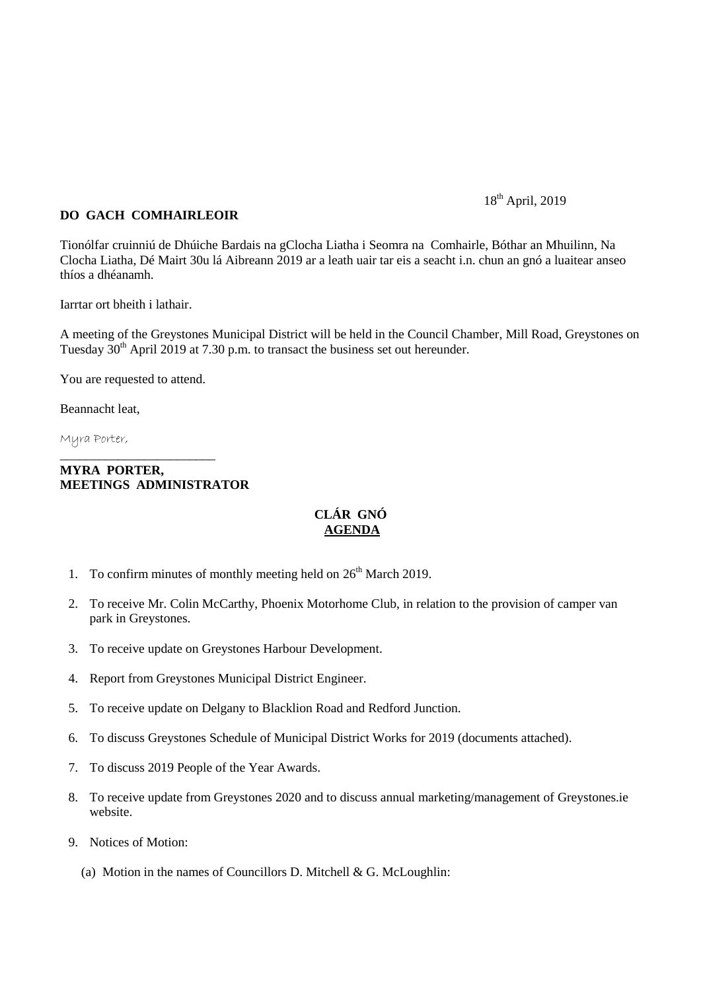## 18<sup>th</sup> April, 2019

## **DO GACH COMHAIRLEOIR**

Tionólfar cruinniú de Dhúiche Bardais na gClocha Liatha i Seomra na Comhairle, Bóthar an Mhuilinn, Na Clocha Liatha, Dé Mairt 30u lá Aibreann 2019 ar a leath uair tar eis a seacht i.n. chun an gnó a luaitear anseo thíos a dhéanamh.

Iarrtar ort bheith i lathair.

A meeting of the Greystones Municipal District will be held in the Council Chamber, Mill Road, Greystones on Tuesday  $30<sup>th</sup>$  April 2019 at 7.30 p.m. to transact the business set out hereunder.

You are requested to attend.

\_\_\_\_\_\_\_\_\_\_\_\_\_\_\_\_\_\_\_\_\_\_\_\_

Beannacht leat,

Myra Porter,

## **MYRA PORTER, MEETINGS ADMINISTRATOR**

## **CLÁR GNÓ AGENDA**

- 1. To confirm minutes of monthly meeting held on  $26<sup>th</sup>$  March 2019.
- 2. To receive Mr. Colin McCarthy, Phoenix Motorhome Club, in relation to the provision of camper van park in Greystones.
- 3. To receive update on Greystones Harbour Development.
- 4. Report from Greystones Municipal District Engineer.
- 5. To receive update on Delgany to Blacklion Road and Redford Junction.
- 6. To discuss Greystones Schedule of Municipal District Works for 2019 (documents attached).
- 7. To discuss 2019 People of the Year Awards.
- 8. To receive update from Greystones 2020 and to discuss annual marketing/management of Greystones.ie website.
- 9. Notices of Motion:
	- (a) Motion in the names of Councillors D. Mitchell  $& G.$  McLoughlin: